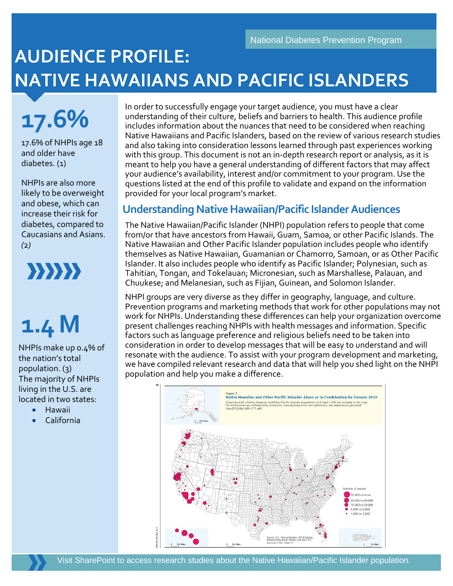## **AUDIENCE PROFILE: NATIVE HAWAIIANS AND PACIFIC ISLANDERS**

**17.6%**

17.6% of NHPIs age 18 and older have diabetes. (1)

NHPIs are also more likely to be overweight and obese, which can increase their risk for diabetes, compared to Caucasians and Asians. *(*2*)*

 $\{33333\}$ 

# **1.4 M**

NHPIs make up 0.4% of the nation's total population. (3) The majority of NHPIs living in the U.S. are located in two states:

- Hawaii
- California

In order to successfully engage your target audience, you must have a clear understanding of their culture, beliefs and barriers to health. This audience profile includes information about the nuances that need to be considered when reaching Native Hawaiians and Pacific Islanders, based on the review of various research studies and also taking into consideration lessons learned through past experiences working with this group. This document is not an in-depth research report or analysis, as it is meant to help you have a general understanding of different factors that may affect your audience's availability, interest and/or commitment to your program. Use the questions listed at the end of this profile to validate and expand on the information provided for your local program's market.

## **Understanding Native Hawaiian/Pacific Islander Audiences**

The Native Hawaiian/Pacific Islander (NHPI) population refers to people that come from/or that have ancestors from Hawaii, Guam, Samoa, or other Pacific Islands. The Native Hawaiian and Other Pacific Islander population includes people who identify themselves as Native Hawaiian, Guamanian or Chamorro, Samoan, or as Other Pacific Islander. It also includes people who identify as Pacific Islander; Polynesian, such as Tahitian, Tongan, and Tokelauan; Micronesian, such as Marshallese, Palauan, and Chuukese; and Melanesian, such as Fijian, Guinean, and Solomon Islander.

NHPI groups are very diverse as they differ in geography, language, and culture. Prevention programs and marketing methods that work for other populations may not work for NHPIs. Understanding these differences can help your organization overcome present challenges reaching NHPIs with health messages and information. Specific factors such as language preference and religious beliefs need to be taken into consideration in order to develop messages that will be easy to understand and will resonate with the audience. To assist with your program development and marketing, we have compiled relevant research and data that will help you shed light on the NHPI population and help you make a difference.

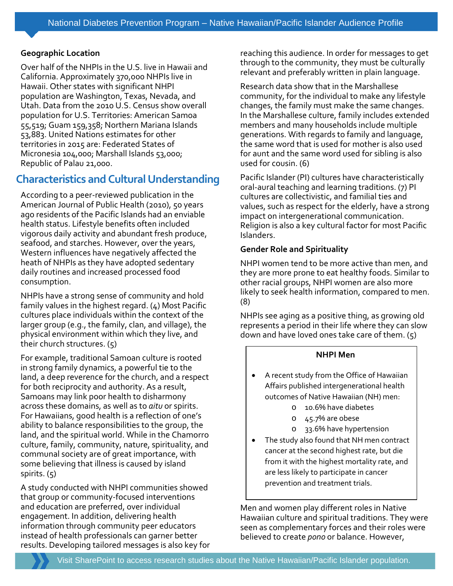#### **Geographic Location**

Over half of the NHPIs in the U.S. live in Hawaii and California. Approximately 370,000 NHPIs live in Hawaii. Other states with significant NHPI population are Washington, Texas, Nevada, and Utah. Data from the 2010 U.S. Census show overall population for U.S. Territories: American Samoa 55,519; Guam 159,358; Northern Mariana Islands 53,883. United Nations estimates for other territories in 2015 are: Federated States of Micronesia 104,000; Marshall Islands 53,000; Republic of Palau 21,000.

Ĩ

## **Characteristics and Cultural Understanding**

According to a peer-reviewed publication in the American Journal of Public Health (2010), 50 years ago residents of the Pacific Islands had an enviable health status. Lifestyle benefits often included vigorous daily activity and abundant fresh produce, seafood, and starches. However, over the years, Western influences have negatively affected the heath of NHPIs as they have adopted sedentary daily routines and increased processed food consumption.

NHPIs have a strong sense of community and hold family values in the highest regard. (4) Most Pacific cultures place individuals within the context of the larger group (e.g., the family, clan, and village), the physical environment within which they live, and their church structures. (5)

For example, traditional Samoan culture is rooted in strong family dynamics, a powerful tie to the land, a deep reverence for the church, and a respect for both reciprocity and authority. As a result, Samoans may link poor health to disharmony across these domains, as well as to *aitu* or spirits. For Hawaiians, good health is a reflection of one's ability to balance responsibilities to the group, the land, and the spiritual world. While in the Chamorro culture, family, community, nature, spirituality, and communal society are of great importance, with some believing that illness is caused by island spirits.  $(5)$ 

A study conducted with NHPI communities showed that group or community-focused interventions and education are preferred, over individual engagement. In addition, delivering health information through community peer educators instead of health professionals can garner better results. Developing tailored messages is also key for reaching this audience. In order for messages to get through to the community, they must be culturally relevant and preferably written in plain language.

Research data show that in the Marshallese community, for the individual to make any lifestyle changes, the family must make the same changes. In the Marshallese culture, family includes extended members and many households include multiple generations. With regards to family and language, the same word that is used for mother is also used for aunt and the same word used for sibling is also used for cousin. (6)

Pacific Islander (PI) cultures have characteristically oral-aural teaching and learning traditions. (7) PI cultures are collectivistic, and familial ties and values, such as respect for the elderly, have a strong impact on intergenerational communication. Religion is also a key cultural factor for most Pacific Islanders.

#### **Gender Role and Spirituality**

NHPI women tend to be more active than men, and they are more prone to eat healthy foods. Similar to other racial groups, NHPI women are also more likely to seek health information, compared to men. (8)

NHPIs see aging as a positive thing, as growing old represents a period in their life where they can slow down and have loved ones take care of them.  $(5)$ 

#### **NHPI Men**

- A recent study from the Office of Hawaiian Affairs published intergenerational health outcomes of Native Hawaiian (NH) men:
	- o 10.6% have diabetes
	- o 45.7% are obese
	- o 33.6% have hypertension
- The study also found that NH men contract cancer at the second highest rate, but die from it with the highest mortality rate, and are less likely to participate in cancer prevention and treatment trials.

Men and women play different roles in Native Hawaiian culture and spiritual traditions. They were seen as complementary forces and their roles were believed to create *pono* or balance. However,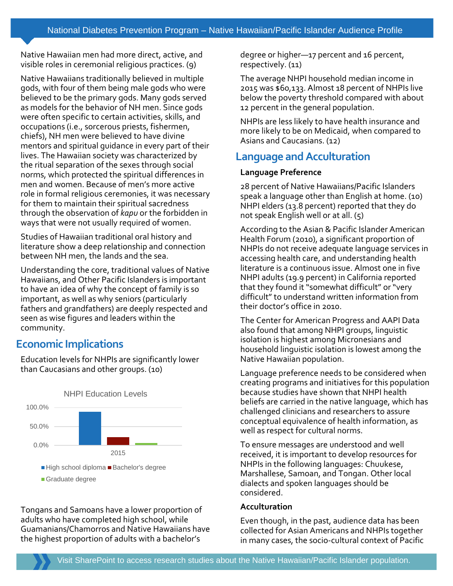Native Hawaiian men had more direct, active, and visible roles in ceremonial religious practices. (9)

Native Hawaiians traditionally believed in multiple gods, with four of them being male gods who were believed to be the primary gods. Many gods served as models for the behavior of NH men. Since gods were often specific to certain activities, skills, and occupations (i.e., sorcerous priests, fishermen, chiefs), NH men were believed to have divine mentors and spiritual guidance in every part of their lives. The Hawaiian society was characterized by the ritual separation of the sexes through social norms, which protected the spiritual differences in men and women. Because of men's more active role in formal religious ceremonies, it was necessary for them to maintain their spiritual sacredness through the observation of *kapu* or the forbidden in ways that were not usually required of women.

Studies of Hawaiian traditional oral history and literature show a deep relationship and connection between NH men, the lands and the sea.

Understanding the core, traditional values of Native Hawaiians, and Other Pacific Islanders is important to have an idea of why the concept of family is so important, as well as why seniors (particularly fathers and grandfathers) are deeply respected and seen as wise figures and leaders within the community.

## **Economic Implications**

Education levels for NHPIs are significantly lower than Caucasians and other groups. (10)



Tongans and Samoans have a lower proportion of adults who have completed high school, while Guamanians/Chamorros and Native Hawaiians have the highest proportion of adults with a bachelor's

degree or higher—17 percent and 16 percent, respectively. (11)

The average NHPI household median income in 2015 was \$60,133. Almost 18 percent of NHPIs live below the poverty threshold compared with about 12 percent in the general population.

NHPIs are less likely to have health insurance and more likely to be on Medicaid, when compared to Asians and Caucasians. (12)

## **Language and Acculturation**

#### **Language Preference**

28 percent of Native Hawaiians/Pacific Islanders speak a language other than English at home. (10) NHPI elders (13.8 percent) reported that they do not speak English well or at all. (5)

According to the Asian & Pacific Islander American Health Forum (2010), a significant proportion of NHPIs do not receive adequate language services in accessing health care, and understanding health literature is a continuous issue. Almost one in five NHPI adults (19.9 percent) in California reported that they found it "somewhat difficult" or "very difficult" to understand written information from their doctor's office in 2010.

The Center for American Progress and AAPI Data also found that among NHPI groups, linguistic isolation is highest among Micronesians and household linguistic isolation is lowest among the Native Hawaiian population.

Language preference needs to be considered when creating programs and initiatives for this population because studies have shown that NHPI health beliefs are carried in the native language, which has challenged clinicians and researchers to assure conceptual equivalence of health information, as well as respect for cultural norms.

To ensure messages are understood and well received, it is important to develop resources for NHPIs in the following languages: Chuukese, Marshallese, Samoan, and Tongan. Other local dialects and spoken languages should be considered.

#### **Acculturation**

Even though, in the past, audience data has been collected for Asian Americans and NHPIs together in many cases, the socio-cultural context of Pacific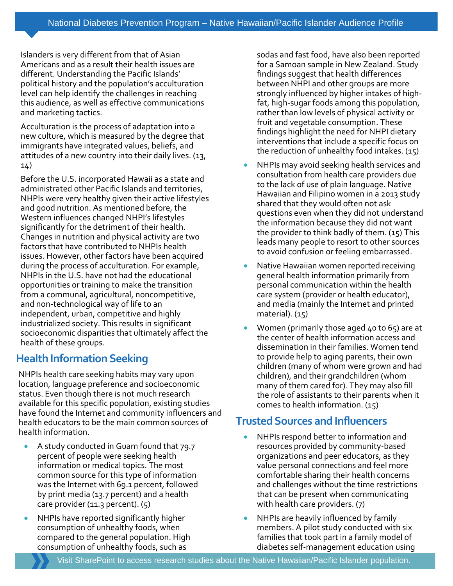Islanders is very different from that of Asian Americans and as a result their health issues are different. Understanding the Pacific Islands' political history and the population's acculturation level can help identify the challenges in reaching this audience, as well as effective communications and marketing tactics.

Acculturation is the process of adaptation into a new culture, which is measured by the degree that immigrants have integrated values, beliefs, and attitudes of a new country into their daily lives. (13, 14)

Before the U.S. incorporated Hawaii as a state and administrated other Pacific Islands and territories, NHPIs were very healthy given their active lifestyles and good nutrition. As mentioned before, the Western influences changed NHPI's lifestyles significantly for the detriment of their health. Changes in nutrition and physical activity are two factors that have contributed to NHPIs health issues. However, other factors have been acquired during the process of acculturation. For example, NHPIs in the U.S. have not had the educational opportunities or training to make the transition from a communal, agricultural, noncompetitive, and non-technological way of life to an independent, urban, competitive and highly industrialized society. This results in significant socioeconomic disparities that ultimately affect the health of these groups.

## **Health Information Seeking**

NHPIs health care seeking habits may vary upon location, language preference and socioeconomic status. Even though there is not much research available for this specific population, existing studies have found the Internet and community influencers and health educators to be the main common sources of health information.

- A study conducted in Guam found that 79.7 percent of people were seeking health information or medical topics. The most common source for this type of information was the Internet with 69.1 percent, followed by print media (13.7 percent) and a health care provider (11.3 percent). (5)
- NHPIs have reported significantly higher consumption of unhealthy foods, when compared to the general population. High consumption of unhealthy foods, such as

sodas and fast food, have also been reported for a Samoan sample in New Zealand. Study findings suggest that health differences between NHPI and other groups are more strongly influenced by higher intakes of highfat, high-sugar foods among this population, rather than low levels of physical activity or fruit and vegetable consumption. These findings highlight the need for NHPI dietary interventions that include a specific focus on the reduction of unhealthy food intakes. (15)

- NHPIs may avoid seeking health services and consultation from health care providers due to the lack of use of plain language. Native Hawaiian and Filipino women in a 2013 study shared that they would often not ask questions even when they did not understand the information because they did not want the provider to think badly of them.  $(15)$  This leads many people to resort to other sources to avoid confusion or feeling embarrassed.
- Native Hawaiian women reported receiving general health information primarily from personal communication within the health care system (provider or health educator), and media (mainly the Internet and printed material). (15)
- Women (primarily those aged 40 to 65) are at the center of health information access and dissemination in their families. Women tend to provide help to aging parents, their own children (many of whom were grown and had children), and their grandchildren (whom many of them cared for). They may also fill the role of assistants to their parents when it comes to health information. (15)

## **Trusted Sources and Influencers**

- NHPIs respond better to information and resources provided by community-based organizations and peer educators, as they value personal connections and feel more comfortable sharing their health concerns and challenges without the time restrictions that can be present when communicating with health care providers. (7)
- NHPIs are heavily influenced by family members. A pilot study conducted with six families that took part in a family model of diabetes self-management education using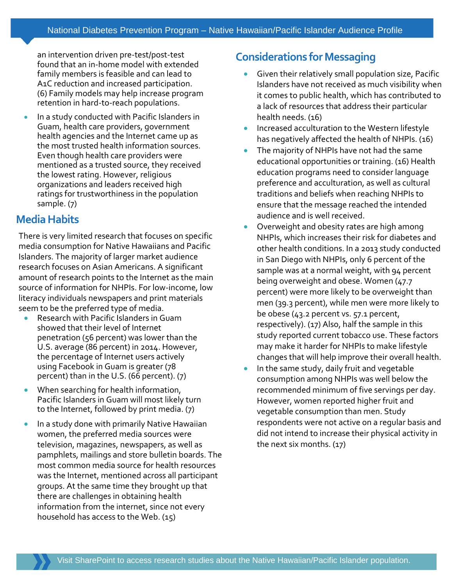an intervention driven pre-test/post-test found that an in-home model with extended family members is feasible and can lead to A1C reduction and increased participation. (6) Family models may help increase program retention in hard-to-reach populations.

In a study conducted with Pacific Islanders in Guam, health care providers, government health agencies and the Internet came up as the most trusted health information sources. Even though health care providers were mentioned as a trusted source, they received the lowest rating. However, religious organizations and leaders received high ratings for trustworthiness in the population sample. (7)

## **Media Habits**

There is very limited research that focuses on specific media consumption for Native Hawaiians and Pacific Islanders. The majority of larger market audience research focuses on Asian Americans. A significant amount of research points to the Internet as the main source of information for NHPIs. For low-income, low literacy individuals newspapers and print materials seem to be the preferred type of media.

- Research with Pacific Islanders in Guam showed that their level of Internet penetration (56 percent) was lower than the U.S. average (86 percent) in 2014. However, the percentage of Internet users actively using Facebook in Guam is greater (78 percent) than in the U.S. (66 percent). (7)
- When searching for health information, Pacific Islanders in Guam will most likely turn to the Internet, followed by print media. (7)
- In a study done with primarily Native Hawaiian women, the preferred media sources were television, magazines, newspapers, as well as pamphlets, mailings and store bulletin boards. The most common media source for health resources was the Internet, mentioned across all participant groups. At the same time they brought up that there are challenges in obtaining health information from the internet, since not every household has access to the Web. (15)

## **Considerations for Messaging**

- Given their relatively small population size, Pacific Islanders have not received as much visibility when it comes to public health, which has contributed to a lack of resources that address their particular health needs. (16)
- Increased acculturation to the Western lifestyle has negatively affected the health of NHPIs. (16)
- The majority of NHPIs have not had the same educational opportunities or training. (16) Health education programs need to consider language preference and acculturation, as well as cultural traditions and beliefs when reaching NHPIs to ensure that the message reached the intended audience and is well received.
- Overweight and obesity rates are high among NHPIs, which increases their risk for diabetes and other health conditions. In a 2013 study conducted in San Diego with NHPIs, only 6 percent of the sample was at a normal weight, with 94 percent being overweight and obese. Women (47.7 percent) were more likely to be overweight than men (39.3 percent), while men were more likely to be obese (43.2 percent vs. 57.1 percent, respectively). (17) Also, half the sample in this study reported current tobacco use. These factors may make it harder for NHPIs to make lifestyle changes that will help improve their overall health.
- In the same study, daily fruit and vegetable consumption among NHPIs was well below the recommended minimum of five servings per day. However, women reported higher fruit and vegetable consumption than men. Study respondents were not active on a regular basis and did not intend to increase their physical activity in the next six months. (17)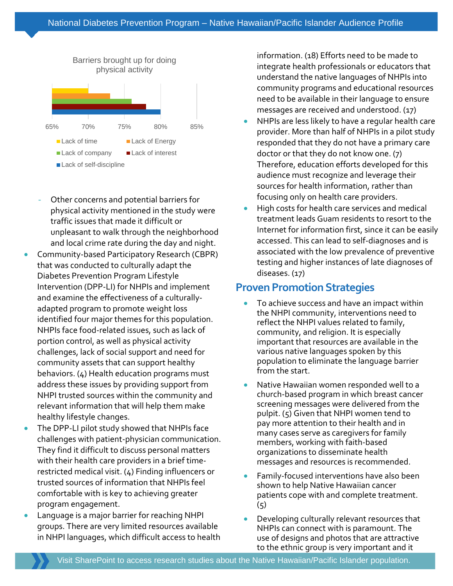

- Other concerns and potential barriers for physical activity mentioned in the study were traffic issues that made it difficult or unpleasant to walk through the neighborhood and local crime rate during the day and night.
- Community-based Participatory Research (CBPR) that was conducted to culturally adapt the Diabetes Prevention Program Lifestyle Intervention (DPP-LI) for NHPIs and implement and examine the effectiveness of a culturallyadapted program to promote weight loss identified four major themes for this population. NHPIs face food-related issues, such as lack of portion control, as well as physical activity challenges, lack of social support and need for community assets that can support healthy behaviors. (4) Health education programs must address these issues by providing support from NHPI trusted sources within the community and relevant information that will help them make healthy lifestyle changes.
- The DPP-LI pilot study showed that NHPIs face challenges with patient-physician communication. They find it difficult to discuss personal matters with their health care providers in a brief timerestricted medical visit. (4) Finding influencers or trusted sources of information that NHPIs feel comfortable with is key to achieving greater program engagement.
- Language is a major barrier for reaching NHPI groups. There are very limited resources available in NHPI languages, which difficult access to health

information. (18) Efforts need to be made to integrate health professionals or educators that understand the native languages of NHPIs into community programs and educational resources need to be available in their language to ensure messages are received and understood. (17)

- NHPIs are less likely to have a regular health care provider. More than half of NHPIs in a pilot study responded that they do not have a primary care doctor or that they do not know one. (7) Therefore, education efforts developed for this audience must recognize and leverage their sources for health information, rather than focusing only on health care providers.
- High costs for health care services and medical treatment leads Guam residents to resort to the Internet for information first, since it can be easily accessed. This can lead to self-diagnoses and is associated with the low prevalence of preventive testing and higher instances of late diagnoses of diseases. (17)

### **Proven Promotion Strategies**

- To achieve success and have an impact within the NHPI community, interventions need to reflect the NHPI values related to family, community, and religion. It is especially important that resources are available in the various native languages spoken by this population to eliminate the language barrier from the start.
- Native Hawaiian women responded well to a church-based program in which breast cancer screening messages were delivered from the pulpit. (5) Given that NHPI women tend to pay more attention to their health and in many cases serve as caregivers for family members, working with faith-based organizations to disseminate health messages and resources is recommended.
- Family-focused interventions have also been shown to help Native Hawaiian cancer patients cope with and complete treatment.  $(5)$
- Developing culturally relevant resources that NHPIs can connect with is paramount. The use of designs and photos that are attractive to the ethnic group is very important and it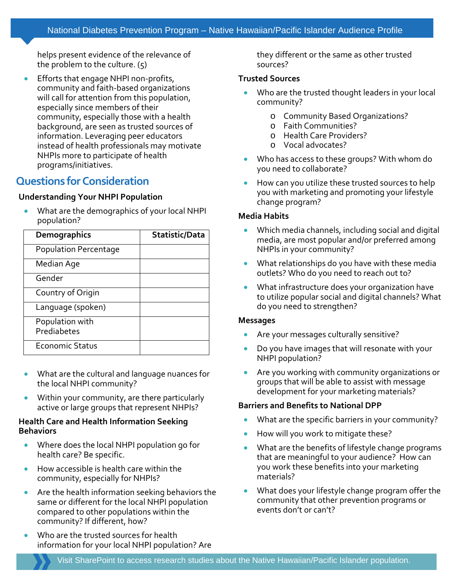helps present evidence of the relevance of the problem to the culture. (5)

• Efforts that engage NHPI non-profits, community and faith-based organizations will call for attention from this population, especially since members of their community, especially those with a health background, are seen as trusted sources of information. Leveraging peer educators instead of health professionals may motivate NHPIs more to participate of health programs/initiatives.

## **Questions for Consideration**

#### **Understanding Your NHPI Population**

• What are the demographics of your local NHPI population?

| <b>Demographics</b>            | Statistic/Data |
|--------------------------------|----------------|
| <b>Population Percentage</b>   |                |
| Median Age                     |                |
| Gender                         |                |
| Country of Origin              |                |
| Language (spoken)              |                |
| Population with<br>Prediabetes |                |
| <b>Economic Status</b>         |                |

- What are the cultural and language nuances for the local NHPI community?
- Within your community, are there particularly active or large groups that represent NHPIs?

#### **Health Care and Health Information Seeking Behaviors**

- Where does the local NHPI population go for health care? Be specific.
- How accessible is health care within the community, especially for NHPIs?
- Are the health information seeking behaviors the same or different for the local NHPI population compared to other populations within the community? If different, how?
- Who are the trusted sources for health information for your local NHPI population? Are

they different or the same as other trusted sources?

#### **Trusted Sources**

- Who are the trusted thought leaders in your local community?
	- o Community Based Organizations?
	- o Faith Communities?
	- o Health Care Providers?
	- o Vocal advocates?
- Who has access to these groups? With whom do you need to collaborate?
- How can you utilize these trusted sources to help you with marketing and promoting your lifestyle change program?

#### **Media Habits**

- Which media channels, including social and digital media, are most popular and/or preferred among NHPIs in your community?
- What relationships do you have with these media outlets? Who do you need to reach out to?
- What infrastructure does your organization have to utilize popular social and digital channels? What do you need to strengthen?

#### **Messages**

- Are your messages culturally sensitive?
- Do you have images that will resonate with your NHPI population?
- Are you working with community organizations or groups that will be able to assist with message development for your marketing materials?

#### **Barriers and Benefits to National DPP**

- What are the specific barriers in your community?
- How will you work to mitigate these?
- What are the benefits of lifestyle change programs that are meaningful to your audience? How can you work these benefits into your marketing materials?
- What does your lifestyle change program offer the community that other prevention programs or events don't or can't?